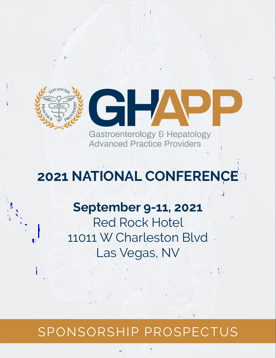

# **2021 NATIONAL CONFERENCE**

## **September 9-11, 2021**

Red Rock Hotel 11011 W Charleston Blvd Las Vegas, NV

# SPONSORSHIP PROSPECTUS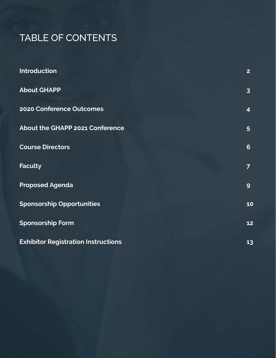### TABLE OF CONTENTS

| <b>Introduction</b>                        | $\overline{2}$          |
|--------------------------------------------|-------------------------|
| <b>About GHAPP</b>                         | $\overline{3}$          |
| 2020 Conference Outcomes                   | $\overline{\mathbf{4}}$ |
| <b>About the GHAPP 2021 Conference</b>     | $5\overline{)}$         |
| <b>Course Directors</b>                    | 6                       |
| <b>Faculty</b>                             | $\overline{7}$          |
| <b>Proposed Agenda</b>                     | 9                       |
| <b>Sponsorship Opportunities</b>           | 10                      |
| <b>Sponsorship Form</b>                    | 12                      |
| <b>Exhibitor Registration Instructions</b> | 13                      |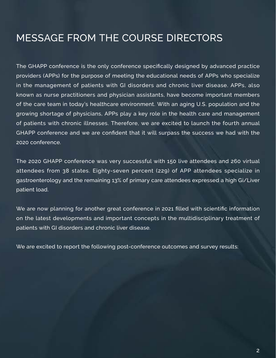### <span id="page-2-0"></span>MESSAGE FROM THE COURSE DIRECTORS

The GHAPP conference is the only conference specifically designed by advanced practice providers (APPs) for the purpose of meeting the educational needs of APPs who specialize in the management of patients with GI disorders and chronic liver disease. APPs, also known as nurse practitioners and physician assistants, have become important members of the care team in today's healthcare environment. With an aging U.S. population and the growing shortage of physicians, APPs play a key role in the health care and management of patients with chronic illnesses. Therefore, we are excited to launch the fourth annual GHAPP conference and we are confident that it will surpass the success we had with the 2020 conference.

The 2020 GHAPP conference was very successful with 150 live attendees and 260 virtual attendees from 38 states. Eighty-seven percent (229) of APP attendees specialize in gastroenterology and the remaining 13% of primary care attendees expressed a high Gi/Liver patient load.

We are now planning for another great conference in 2021 filled with scientific information on the latest developments and important concepts in the multidisciplinary treatment of patients with GI disorders and chronic liver disease.

We are excited to report the following post-conference outcomes and survey results: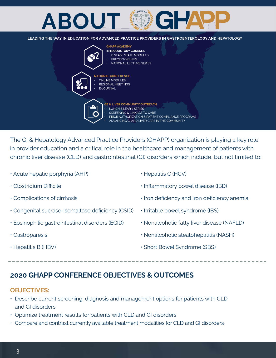# <span id="page-3-0"></span>**ABOUT**

**LEADING THE WAY IN EDUCATION FOR ADVANCED PRACTICE PROVIDERS IN GASTROENTEROLOGY AND HEPATOLOGY**



The GI & Hepatology Advanced Practice Providers (GHAPP) organization is playing a key role in provider education and a critical role in the healthcare and management of patients with chronic liver disease (CLD) and gastrointestinal (GI) disorders which include, but not limited to:

- Acute hepatic porphyria (AHP)
- Clostridium Difficile
- Complications of cirrhosis
- Congenital sucrase-isomaltase deficiency (CSID)
- Eosinophilic gastrointestinal disorders (EGID)
- Gastroparesis
- Hepatitis B (HBV)
- Hepatitis C (HCV)
- Inflammatory bowel disease (IBD)
- Iron deficiency and Iron deficiency anemia
- Irritable bowel syndrome (IBS)
- Nonalcoholic fatty liver disease (NAFLD)
- Nonalcoholic steatohepatitis (NASH)
- Short Bowel Syndrome (SBS)

### **2020 GHAPP CONFERENCE OBJECTIVES & OUTCOMES**

### **OBJECTIVES:**

- Describe current screening, diagnosis and management options for patients with CLD and GI disorders
- Optimize treatment results for patients with CLD and GI disorders
- Compare and contrast currently available treatment modalities for CLD and GI disorders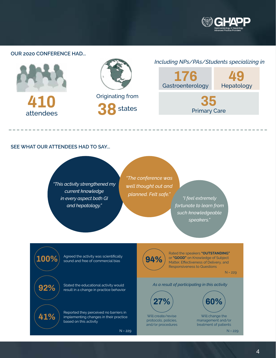

----------

#### <span id="page-4-0"></span>**OUR 2020 CONFERENCE HAD...**



#### **SEE WHAT OUR ATTENDEES HAD TO SAY...**

---------------------

**100%**

**92%**

**41%**

*"This activity strengthened my current knowledge in every aspect both GI and hepatology."*

*"The conference was well thought out and* 

-------------------

*planned. Felt safe." "I feel extremely fortunate to learn from such knowledgeable speakers."* 

Agreed the activity was scientifically sound and free of commercial bias

Stated the educational activity would result in a change in practice behavior

Reported they perceived no barriers in implementing changes in their practice based on this activity

N = 229 N = 229



Rated the speakers **"OUTSTANDING"**  or **"GOOD"** on Knowledge of Subject Matter, Effectiveness of Delivery, and Responsiveness to Questions

N = 229

#### *As a result of participating in this activity*



Will create/revise protocols, policies, and/or procedures

Will change the management and/or treatment of patients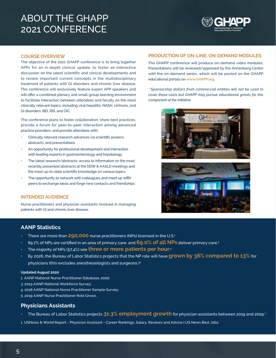### <span id="page-5-0"></span>ABOUT THE GHAPP 2021 CONFERENCE



#### **COURSE OVERVIEW**

The objective of the 2021 GHAPP conference is to bring together APPs for an in-depth clinical update, to foster an interactive discussion on the latest scientific and clinical developments and to review important current concepts in the multidisciplinary treatment of patients with GI disorders and chronic liver disease. The conference will exclusively feature expert APP speakers and will offer a combined plenary and small-group learning environment to facilitate interaction between attendees and faculty on the most clinically relevant topics, including viral hepatitis, NASH, cirrhosis, and GI disorders: IBD, IBS, and OIC.

The conference plans to foster collaboration, share best practices, provide a forum for peer-to-peer interaction among advanced practice providers, and provide attendees with:

- Clinically relevant research advances via scientific posters, abstracts, and presentations
- An opportunity for professional development and interaction with leading experts in gastroenterology and hepatology
- The latest research/abstracts: access to information on the most recently presented abstracts at the DDW & AASLD meetings and the most up-to-date scientific knowledge on various topics
- The opportunity to network with colleagues and meet up with peers to exchange ideas and forge new contacts and friendships

#### **INTENDED AUDIENCE**

Nurse practitioners and physician assistants involved in managing patients with GI and chronic liver disease.

#### **PRODUCTION OF ON-LINE, ON-DEMAND MODULES**

The GHAPP conference will produce on-demand video modules. Presentations will be reviewed/approved by the Annenberg Center with the on-demand series, which will be posted on the GHAPP educational portals on **www.GHAPP.org**.

*\*\*Sponsorship dollars from commercial entities will not be used to cover these costs but GHAPP may pursue educational grants for this component of the initiative.*





### **AANP Statistics**

- There are more than **290,000** nurse practitioners (NPs) licensed in the U.S<sup>1</sup>
- 89.7% of NPs are certified in an area of primary care, and **69.0% of all NPs** deliver primary care.3
- The majority of NPs (57.4%) see **three or more patients per hour**. 4
- By 2026, the Bureau of Labor Statistics projects that the NP role will have **grown by 36% compared to 13%** for physicians (this excludes anesthesiologists and surgeons.)5

#### **Updated August 2020**

- 1. AANP National Nurse Practitioner Database, 2020;
- 3. 2019 AANP National Workforce Survey;
- 4. 2018 AANP National Nurse Practitioner Sample Survey;
- 5 .2019 AANP Nurse Practitioner Role Grows.

#### **Physicians Assistants**

- The Bureau of Labor Statistics projects **31.3% employment growth** for physician assistants between 2019 and 2029.1
- 1. USNews & World Report Physician Assistant Career Rankings, Salary, Reviews and Advice | US News Best Jobs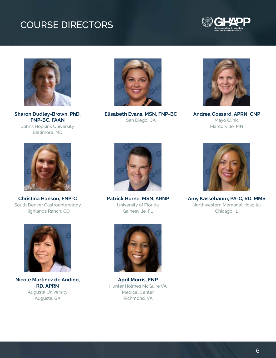### <span id="page-6-0"></span>COURSE DIRECTORS





**Sharon Dudley-Brown, PhD, FNP-BC, FAAN**  Johns Hopkins University Baltimore, MD



**Elisabeth Evans, MSN, FNP-BC** San Diego, CA



**Andrea Gossard, APRN, CNP** Mayo Clinic Mantorville, MN



**Christina Hanson, FNP-C** South Denver Gastroenterology Highlands Ranch, CO



**Nicole Martinez de Andino, RD, APRN** Augusta University Augusta, GA



**Patrick Horne, MSN, ARNP** University of Florida Gainesville, FL



**Amy Kassebaum, PA-C, RD, MMS**  Northwestern Memorial Hospital Chicago, IL



**April Morris, FNP** Hunter Holmes McGuire VA Medical Center Richmond, VA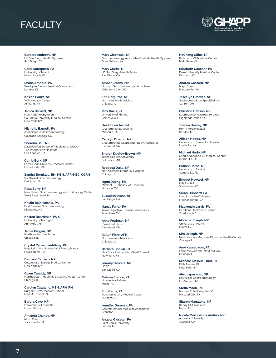### <span id="page-7-0"></span>FACULTY

**Barbara Andrews, NP** UC San Diego Health Systems San Diego, CA

**Carol Antequera, PA** University of Miami Miami Beach, FL

**Shana Arnhold, PA** Westglen Gastrointestinal Consultants Lenexa, KS

**Kasiah Banks, NP** VCU Medical Center Ashland, VA

**Janica Barnett, NP** New York Presbyterian – Columbia University Medical Center New York, NY

**Michelle Barnett, PA** Associates in Gastroenterology Colorado Springs, CO

**Sherona Bau, NP** David Geffen School of Medicine at UCLA – The Pfleger Liver Institute Los Angeles, CA

**Corrie Berk, NP** Loma Linda University Medical Center Loma Linda, CA

**Sandra Bernklau, RN, MSN, APRN-BC, CGRN** Southwest Gastroenterology Oak Lawn, IL

**Rosa Berry, NP** New Haven Gastroenterology and Endoscopy Center West Bloomfield, MI

**Kristin Blankenship, PA** East Carolina Gastroenterology Richlands, NC

**Kristen Boardman, PA-C** University of Michigan Ann Arbor, MI

**Jamie Brogan, NP** Northwestern Medicine Chicago, IL

**Crystal Carmichael-Kusy, PA** Hospital of the University of Pennsylvania Philadelphia, PA

**Damaris Carriero, NP** Columbia University Medical Center New York, NY

**Gwen Cassidy, NP** Northwestern Hospital, Digestive Health Center Chicago, IL

**Carolyn Catalano, MSN, APN, RN** Rutgers – RWJ Medical School New Brunswick, NJ

**Barbra Cave, NP** University of Louisville Louisville, KY

**Amanda Chaney, NP** Mayo Clinic Jacksonville, FL

**Mary Ciechoski, NP** Gastroenterology Associates/Kaleida Health System Grand Island, NY

**Mary Clarke, NP** UC San Diego Health System San Diego, CA

**Amber Crosby, NP** Norman Gastroenterology Associates Oklahoma City, OK

**Erin Darguzas, NP** Northwestern Medicine Chicago, IL

**Rick Davis, PA** University of Florida Gainesville, FL

**Heidi Drescher, PA** Western Montana Clinic Missoula, MT

**Carolyn Driscoll, NP** Charlottesville Gastroenterology Associates Richmond, VA

**Sharon Dudley-Brown, NP** Johns Hopkins University Baltimore, MD

**Rebecca Duke, NP** Northwestern Memorial Hospital Chicago, IL

**Ngoc Duong, PA** Michael E. Debakey VA, Houston Houston, TX

**Elisabeth Evans, NP** San Diego, CA

**Nancy Farrar, PA** Texas Digestive Disease Consultants Southlake, TX

**Anne Feldman, NP** Cleveland Clinic Cleveland, OH

**Kaitlin Fiore, APN** Northwestern Medicine Chicago, IL

**Barbara Fishkin, PA** New York Presbyterian-Weill Cornell New York, NY

**Jeremy Flowers, NP** UCSD San Diego, CA

**Melissa Franco, PA** University of Miami Miami, FL

**Erin Garris, PA** Duke University Medical Center Durham, NC

**Jennifer Geremia, PA** Gastrointestinal Medicine Associates Cranston, RI

**Angela Gieseler, PA** Saint Louis University Fenton, MO

**HoChong Gilles, NP** Richmond VA Medical Center Midlothian, VA

**Elizabeth Goacher, PA** Duke University Medical Center Durham, NC

**Andrea Gossard, NP** Mayo Clinic Mantorville, MN

**Joscelyn Greaves, NP** Gastroenterology Specialist Inc Canton, OH

**Christina Hanson, NP** South Denver Gastroenterology Highlands Ranch, CO

**Joanna Healey, NP** Henry Ford Hospital Berkley, MI

**Allison Hobbs, NP** University of Louisville Hospital Louisville, KY

**Michael Hodo, NP** Charlie Norwood VA Medical Center Clarks Hill, SC

**Patrick Horne, NP** University of Florida Gainesville, FL

**Bridget Howard, NP** Mayo Clinic Scottsdale, AZ

**Sarah Hubbard, PA** Liver Institute of Virginia Mechanicsville, VA

**Mackenzie Jarvis, PA** Carolinas Healthcare System Charlotte, NC

**Moriane Joseph, NP** University of Miami Miami, FL

**Simi Joseph, NP** Northwestern Medicine Digestive Health Center Chicago, IL

**Amy Kassebaum, PA** Northwestern Memorial Hospital Chicago, IL

**Michele Kissous-Hunt, PA** Fifth Avenue GI New York, NY

**Alex Lapasaran, NP** Las Vegas Gastroenterology Las Vegas, NV

**Stella Madu, PA** Michael E. DeBakey VAMC Missouri City, TX

**Sharon Magalona, NP** Reddy GI Associates Mesa, AZ

**Nicole Martinez de Andino, NP** Augusta University Augusta, GA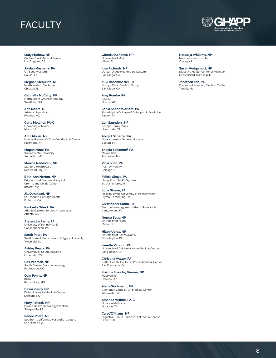### **FACULTY**

**Lucy Mathew, NP** Cedars-Sinai Medical Center Los Angeles, CA

**Jordan Mayberry, PA** UT Southwestern Dallas, TX

**Meghan McAuliffe, NP** Northwestern Medicine Chicago, IL

**Gabriella McCarty, NP** North Shore Gastroenterology Westlake, OH

**Ann Moore, NP** Arizona Liver Health Phoenix, AZ

**Carla Molliner, PA-C** University of Miami Miami, FL

**April Morris, NP** Hunter Holmes McGuire VA Medical Center Richmond, VA

**Megan Morsi, PA** Wayne State University Ann Arbor, MI

**Monica Nandwani, NP** Stanford Health Care Redwood City, CA

**Beth-Ann Norton, NP** Brigham and Women's Hospital Crohn's and Colitis Center Boston, MA

**Jill Olmstead, NP** St. Joseph's Heritage Health Fullerton, CA

**Kimberly Orleck, PA** Atlanta Gastroenterology Associates Atlanta, GA

**Alexandra Parris, PA** University of Pennsylvania Conshohocken, PA

**Sarah Patel, PA** Weill Cornell Medicine and Rutgers University Westfield, NJ

**Ashley Peace, PA** University of South Alabama Lucedale, MS

**Gail Pearson, NP** South Denver Gastroenterology Englewood, CO

**Oyin Penny, NP KCGI** Kansas City, MO

**Dawn Piercy, NP** Duke University Medical Center Durham, NC

**Mary Pollock, NP** Private Gastroenterology Practice Sharpsville, PA

**Renee Pozza, NP** Southern California Liver and GI Centers San Dimas, CA

**Glenda Quinones, NP** University of Miai Miami, FL

**Lisa Richards, NP** UC San Diego Health Care System San Diego, CA

**Yuki Rosenkoetter, PA** Scripps Clinic Medical Group San Diego, CA

**Amy Rourke, PA** BIDMC Natick, MA

**Sonia Saporito Alford, PA** Philadelphia College of Osteopathic Medicine Easton, PA

**Lori Saunders, NP** Scripps Torrey Pines Oceanside, CA

**Abigail Scherrer, PA** Massachusetts General Hospital Boston, MA

**Shayla Schoenoff, PA** Mayo Clinic Rochester, MN

**Vicki Shah, PA** Rush University Chicago, IL

**Felicia Shaya, PA** Henry Ford Health System St. Clair Shores, MI

**Lorie Sinese, PA** Hospital of the University of Pennsylvania Plymouth Meeting, PA

**Christopher Smith, PA** Gastroenterology Associates of Pensacola Cantonment, FL

**Norma Solis, NP** University of Miami

Philadelphia, PA

Miami, FL **Hilary Ugras, NP** University of Pennsylvania

**Janette Villalon, PA** University of California Irvine Medical Center Long Beach, CA

**Christina Walter, PA** Sutter Health, California Pacific Medical Center San Francisco, CA

**Kristina Tuesday Werner, NP** Mayo Clinic

Phoenix, AZ

**Alana Wichmann, NP** Clement J. Zablocki VA Medical Center Waukesha, WI

**Amanda Wilhite, PA-C** Houston Methodist Houston, TX

**Carol Williams, NP** Digestive Health Specialists of the Southeast Dothan, AL



**Natassja Williams, NP** Northwestern Hospital Chicago, IL

**Susan Wolgamott, NP** Digestive Health Center of Michigan Chesterfield Township, MI

**Jonathan Yeh, PA** Columbia University Medical Center Tenafly, NJ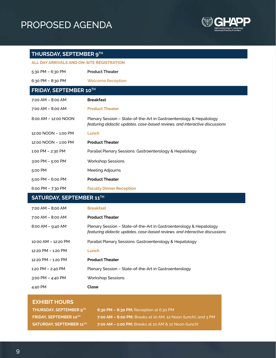### <span id="page-9-0"></span>PROPOSED AGENDA



### **THURSDAY, SEPTEMBER 9TH**

| <b>ALL DAY ARRIVALS AND ON-SITE REGISTRATION</b> |                                                                                                                                                    |  |
|--------------------------------------------------|----------------------------------------------------------------------------------------------------------------------------------------------------|--|
| 5:30 PM $-$ 6:30 PM                              | <b>Product Theater</b>                                                                                                                             |  |
| 6:30 PM - 8:30 PM                                | <b>Welcome Reception</b>                                                                                                                           |  |
| FRIDAY, SEPTEMBER 10TH                           |                                                                                                                                                    |  |
| 7:00 AM - 8:00 AM                                | <b>Breakfast</b>                                                                                                                                   |  |
| $7:00$ AM $-$ 8:00 AM                            | <b>Product Theater</b>                                                                                                                             |  |
| 8:00 AM - 12:00 NOON                             | Plenary Session - State-of-the-Art in Gastroenterology & Hepatology<br>featuring didactic updates, case-based reviews, and interactive discussions |  |
| 12:00 NOON - 1:00 PM                             | Lunch                                                                                                                                              |  |
| 12:00 NOON - 1:00 PM                             | <b>Product Theater</b>                                                                                                                             |  |
| 1:00 PM - 2:30 PM                                | Parallel Plenary Sessions: Gastroenterology & Hepatology                                                                                           |  |
| $3:00$ PM $-5:00$ PM                             | <b>Workshop Sessions</b>                                                                                                                           |  |
| 5:00 PM                                          | Meeting Adjourns                                                                                                                                   |  |
|                                                  |                                                                                                                                                    |  |
| 5:00 PM $-$ 6:00 PM                              | <b>Product Theater</b>                                                                                                                             |  |
| 6:00 PM $-$ 7:30 PM                              | <b>Faculty Dinner Reception</b>                                                                                                                    |  |
| SATURDAY, SEPTEMBER 11TH                         |                                                                                                                                                    |  |
| 7:00 AM - 8:00 AM                                | <b>Breakfast</b>                                                                                                                                   |  |
| $7:00$ AM $-$ 8:00 AM                            | <b>Product Theater</b>                                                                                                                             |  |
| $8:00$ AM $-$ 9:40 AM                            | Plenary Session - State-of-the-Art in Gastroenterology & Hepatology<br>featuring didactic updates, case-based reviews, and interactive discussions |  |
| 10:00 AM - 12:20 PM                              | Parallel Plenary Sessions: Gastroenterology & Hepatology                                                                                           |  |
| 12:20 PM - 1:20 PM                               | Lunch                                                                                                                                              |  |
| 12:20 PM - 1:20 PM                               | <b>Product Theater</b>                                                                                                                             |  |
| 1:20 PM - 2:40 PM                                | Plenary Session - State-of-the-Art in Gastroenterology                                                                                             |  |

| <b>EXHIBIT HOURS</b> |  |
|----------------------|--|

4:40 PM **Close**

| <b>THURSDAY, SEPTEMBER 9TH</b>  | 6:30 PM $-$ 8:30 PM; Reception at 6:30 PM                      |
|---------------------------------|----------------------------------------------------------------|
| <b>FRIDAY, SEPTEMBER 10TH</b>   | 17:00 AM - 6:00 PM; Breaks at 10 AM, 12 Noon (lunch), and 3 PM |
| <b>SATURDAY, SEPTEMBER 11TH</b> | 7:00 AM - 1:00 PM; Breaks at 10 AM & 12 Noon (lunch)           |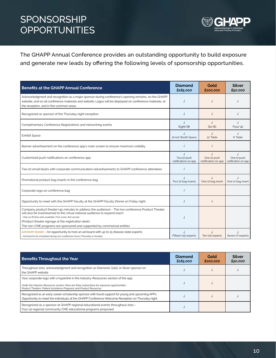### <span id="page-10-0"></span>SPONSORSHIP **OPPORTUNITIES**



The GHAPP Annual Conference provides an outstanding opportunity to build exposure and generate new leads by offering the following levels of sponsorship opportunities.

| <b>Benefits at the GHAPP Annual Conference</b>                                                                                                                                                                                                                                                                                                                                        | <b>Diamond</b><br>\$185,000                        | Gold<br>\$100,000                                 | <b>Silver</b><br>\$50,000                         |
|---------------------------------------------------------------------------------------------------------------------------------------------------------------------------------------------------------------------------------------------------------------------------------------------------------------------------------------------------------------------------------------|----------------------------------------------------|---------------------------------------------------|---------------------------------------------------|
| Acknowledgment and recognition as a major sponsor during conference's opening remarks, on the GHAPP<br>website, and on all conference materials and website. Logos will be displayed on conference materials, at<br>the reception, and in the common areas                                                                                                                            |                                                    |                                                   |                                                   |
| Recognized as sponsor of the Thursday night reception                                                                                                                                                                                                                                                                                                                                 |                                                    | $\sqrt{ }$                                        |                                                   |
| Complimentary Conference Registrations and networking events                                                                                                                                                                                                                                                                                                                          | Eight (8)                                          | Six (6)                                           | Four $(4)$                                        |
| <b>Exhibit Space</b>                                                                                                                                                                                                                                                                                                                                                                  | 10'x10' Booth Space                                | 12' Table                                         | 6' Table                                          |
| Banner advertisement on the conference app's main screen to ensure maximum visibility                                                                                                                                                                                                                                                                                                 |                                                    | $\sqrt{ }$                                        |                                                   |
| Customized push notifications on conference app                                                                                                                                                                                                                                                                                                                                       | $\sqrt{ }$<br>Two (2) push<br>notifications on app | $\sqrt{ }$<br>One (1) push<br>notification on app | $\sqrt{ }$<br>One (1) push<br>notification on app |
| Two (2) email blasts with corporate communication/advertisements to GHAPP conference attendees                                                                                                                                                                                                                                                                                        | $\sqrt{ }$                                         |                                                   |                                                   |
| Promotional product bag inserts in the conference bag                                                                                                                                                                                                                                                                                                                                 | Two (2) bag inserts                                | One (1) bag insert                                | One (1) bag insert                                |
| Corporate logo on conference bag                                                                                                                                                                                                                                                                                                                                                      |                                                    |                                                   |                                                   |
| Opportunity to meet with the GHAPP Faculty at the GHAPP Faculty Dinner on Friday night                                                                                                                                                                                                                                                                                                |                                                    |                                                   |                                                   |
| Company product theater (45-minutes to address the audience) - The live conference Product Theater<br>will also be livestreamed to the virtual national audience to expand reach.<br>· Only six (6) time slots available. First-come, first-served.<br>(Product theater signage at the registration desk).<br>The non-CME programs are sponsored and supported by commercial entities |                                                    |                                                   |                                                   |
| ADVISORY BOARD - An opportunity to host an ad board with up to 15 disease state experts<br>• Ad board to be scheduled during non-conference hours (Thursday or Sunday)                                                                                                                                                                                                                | Fifteen (15) experts                               | Ten (10) experts                                  | Seven (7) experts                                 |

| <b>Benefits Throughout the Year</b>                                                                                                                                                                                                                        | Diamond<br>\$185,000 | Gold<br>\$100,000 | <b>Silver</b><br>\$50,000 |
|------------------------------------------------------------------------------------------------------------------------------------------------------------------------------------------------------------------------------------------------------------|----------------------|-------------------|---------------------------|
| Throughout 2021, acknowledgment and recognition as Diamond, Gold, or Silver sponsor on<br>the GHAPP website                                                                                                                                                |                      |                   |                           |
| Your corporate logo with a hyperlink in the Industry-Resources section of the app.<br>Under the Industry-Resources section, there are three subsections for exposure opportunities:<br>Product Theaters, Patient Assistance Programs and Product Resources |                      |                   |                           |
| Recognized as an early career scholarship sponsor with travel support for young and upcoming APPs.<br>Opportunity to meet the individuals at the GHAPP Conference Welcome Reception on Thursday night                                                      |                      |                   |                           |
| Recognized as a sponsor at GHAPP regional educational events throughout 2021 -<br>Four (4) regional community CME educational programs proposed                                                                                                            |                      |                   |                           |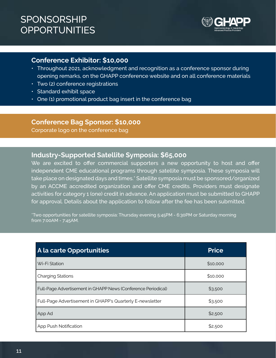### SPONSORSHIP **OPPORTUNITIES**



### **Conference Exhibitor: \$10,000**

- Throughout 2021, acknowledgment and recognition as a conference sponsor during opening remarks, on the GHAPP conference website and on all conference materials
- Two (2) conference registrations
- Standard exhibit space
- One (1) promotional product bag insert in the conference bag

### **Conference Bag Sponsor: \$10,000**

Corporate logo on the conference bag

### **Industry-Supported Satellite Symposia: \$65,000**

We are excited to offer commercial supporters a new opportunity to host and offer independent CME educational programs through satellite symposia. These symposia will take place on designated days and times.\* Satellite symposia must be sponsored/organized by an ACCME accredited organization and offer CME credits. Providers must designate activities for category 1 (one) credit in advance. An application must be submitted to GHAPP for approval. Details about the application to follow after the fee has been submitted.

\*Two opportunities for satellite symposia: Thursday evening 5:45PM - 6:30PM or Saturday morning from 7:00AM - 7:45AM.

| A la carte Opportunities                                      | <b>Price</b> |
|---------------------------------------------------------------|--------------|
| Wi-Fi Station                                                 | \$10,000     |
| <b>Charging Stations</b>                                      | \$10,000     |
| Full-Page Advertisement in GHAPP News (Conference Periodical) | \$3,500      |
| Full-Page Advertisement in GHAPP's Quarterly E-newsletter     | \$3,500      |
| App Ad                                                        | \$2,500      |
| App Push Notification                                         | \$2,500      |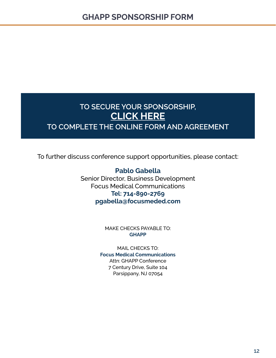### <span id="page-12-0"></span>**TO SECURE YOUR SPONSORSHIP, CLICK HERE [TO COMPLETE THE ONLINE FORM AND AGREEMENT](https://podio.com/webforms/25334814/1875989)**

To further discuss conference support opportunities, please contact:

**Pablo Gabella** Senior Director, Business Development Focus Medical Communications **Tel: 714-890-2769 pgabella@focusmeded.com**

> MAKE CHECKS PAYABLE TO: **GHAPP**

MAIL CHECKS TO: **Focus Medical Communications** Attn: GHAPP Conference 7 Century Drive, Suite 104 Parsippany, NJ 07054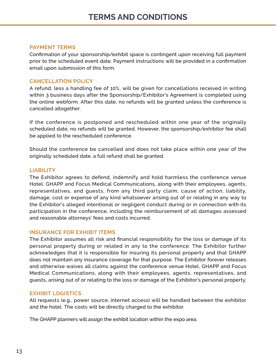#### <span id="page-13-0"></span>**PAYMENT TERMS**

Confirmation of your sponsorship/exhibit space is contingent upon receiving full payment prior to the scheduled event date. Payment instructions will be provided in a confirmation email upon submission of this form.

### **CANCELLATION POLICY**

A refund, less a handling fee of 10%, will be given for cancellations received in writing within 3 business days after the Sponsorship/Exhibitor's Agreement is completed using the online webform. After this date, no refunds will be granted unless the conference is cancelled altogether.

If the conference is postponed and rescheduled within one year of the originally scheduled date, no refunds will be granted. However, the sponsorship/exhibitor fee shall be applied to the rescheduled conference.

Should the conference be cancelled and does not take place within one year of the originally scheduled date, a full refund shall be granted.

#### **LIABILITY**

The Exhibitor agrees to defend, indemnify and hold harmless the conference venue Hotel, GHAPP and Focus Medical Communications, along with their employees, agents, representatives, and guests, from any third party claim, cause of action, liability, damage, cost or expense of any kind whatsoever arising out of or relating in any way to the Exhibitor's alleged intentional or negligent conduct during or in connection with its participation in the conference, including the reimbursement of all damages assessed and reasonable attorneys' fees and costs incurred.

### **INSURANCE FOR EXHIBIT ITEMS**

The Exhibitor assumes all risk and financial responsibility for the loss or damage of its personal property during or related in any to the conference. The Exhibitor further acknowledges that it is responsible for insuring its personal property and that GHAPP does not maintain any insurance coverage for that purpose. The Exhibitor forever releases and otherwise waives all claims against the conference venue Hotel, GHAPP and Focus Medical Communications, along with their employees, agents, representatives, and guests, arising out of or relating to the loss or damage of the Exhibitor's personal property.

### **EXHIBIT LOGISTICS**

All requests (e.g., power source, internet access) will be handled between the exhibitor and the hotel. The costs will be directly charged to the exhibitor.

The GHAPP planners will assign the exhibit location within the expo area.